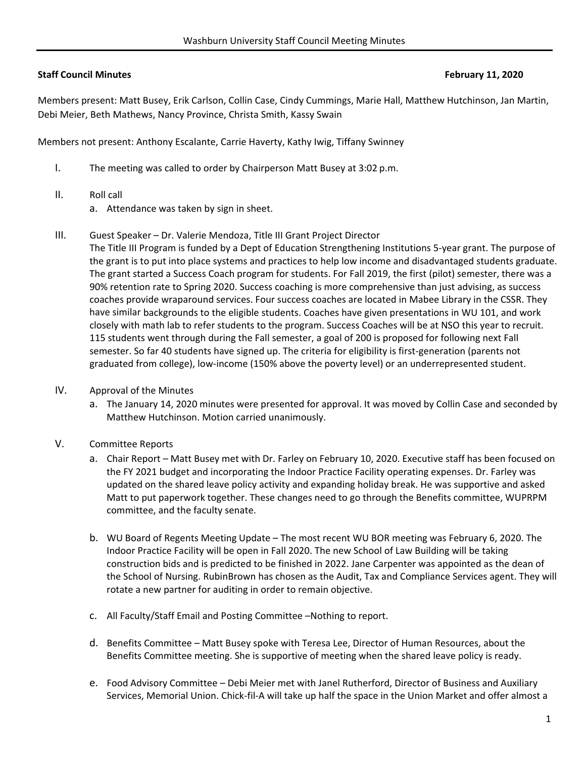# **Staff Council Minutes February 11, 2020**

Members present: Matt Busey, Erik Carlson, Collin Case, Cindy Cummings, Marie Hall, Matthew Hutchinson, Jan Martin, Debi Meier, Beth Mathews, Nancy Province, Christa Smith, Kassy Swain

Members not present: Anthony Escalante, Carrie Haverty, Kathy Iwig, Tiffany Swinney

- I. The meeting was called to order by Chairperson Matt Busey at 3:02 p.m.
- II. Roll call
	- a. Attendance was taken by sign in sheet.
- III. Guest Speaker Dr. Valerie Mendoza, Title III Grant Project Director

The Title III Program is funded by a Dept of Education Strengthening Institutions 5‐year grant. The purpose of the grant is to put into place systems and practices to help low income and disadvantaged students graduate. The grant started a Success Coach program for students. For Fall 2019, the first (pilot) semester, there was a 90% retention rate to Spring 2020. Success coaching is more comprehensive than just advising, as success coaches provide wraparound services. Four success coaches are located in Mabee Library in the CSSR. They have similar backgrounds to the eligible students. Coaches have given presentations in WU 101, and work closely with math lab to refer students to the program. Success Coaches will be at NSO this year to recruit. 115 students went through during the Fall semester, a goal of 200 is proposed for following next Fall semester. So far 40 students have signed up. The criteria for eligibility is first-generation (parents not graduated from college), low‐income (150% above the poverty level) or an underrepresented student.

- IV. Approval of the Minutes
	- a. The January 14, 2020 minutes were presented for approval. It was moved by Collin Case and seconded by Matthew Hutchinson. Motion carried unanimously.
- V. Committee Reports
	- a. Chair Report Matt Busey met with Dr. Farley on February 10, 2020. Executive staff has been focused on the FY 2021 budget and incorporating the Indoor Practice Facility operating expenses. Dr. Farley was updated on the shared leave policy activity and expanding holiday break. He was supportive and asked Matt to put paperwork together. These changes need to go through the Benefits committee, WUPRPM committee, and the faculty senate.
	- b. WU Board of Regents Meeting Update The most recent WU BOR meeting was February 6, 2020. The Indoor Practice Facility will be open in Fall 2020. The new School of Law Building will be taking construction bids and is predicted to be finished in 2022. Jane Carpenter was appointed as the dean of the School of Nursing. RubinBrown has chosen as the Audit, Tax and Compliance Services agent. They will rotate a new partner for auditing in order to remain objective.
	- c. All Faculty/Staff Email and Posting Committee –Nothing to report.
	- d. Benefits Committee Matt Busey spoke with Teresa Lee, Director of Human Resources, about the Benefits Committee meeting. She is supportive of meeting when the shared leave policy is ready.
	- e. Food Advisory Committee Debi Meier met with Janel Rutherford, Director of Business and Auxiliary Services, Memorial Union. Chick‐fil‐A will take up half the space in the Union Market and offer almost a